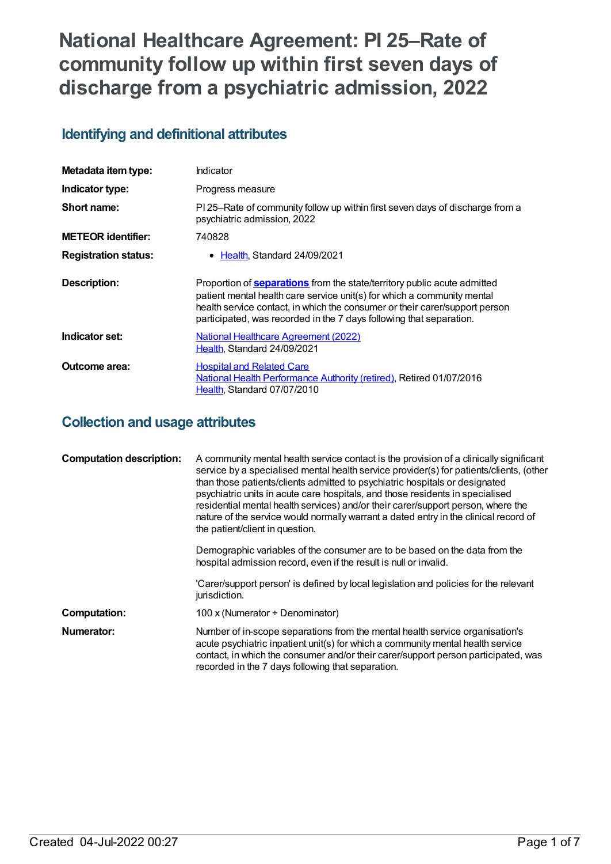# **National Healthcare Agreement: PI 25–Rate of community follow up within first seven days of discharge from a psychiatric admission, 2022**

## **Identifying and definitional attributes**

| Metadata item type:         | <b>Indicator</b>                                                                                                                                                                                                                                                                                                 |
|-----------------------------|------------------------------------------------------------------------------------------------------------------------------------------------------------------------------------------------------------------------------------------------------------------------------------------------------------------|
| Indicator type:             | Progress measure                                                                                                                                                                                                                                                                                                 |
| Short name:                 | PI 25–Rate of community follow up within first seven days of discharge from a<br>psychiatric admission, 2022                                                                                                                                                                                                     |
| <b>METEOR identifier:</b>   | 740828                                                                                                                                                                                                                                                                                                           |
| <b>Registration status:</b> | • Health, Standard 24/09/2021                                                                                                                                                                                                                                                                                    |
| Description:                | Proportion of <b>separations</b> from the state/territory public acute admitted<br>patient mental health care service unit(s) for which a community mental<br>health service contact, in which the consumer or their carer/support person<br>participated, was recorded in the 7 days following that separation. |
| Indicator set:              | National Healthcare Agreement (2022)<br>Health. Standard 24/09/2021                                                                                                                                                                                                                                              |
| Outcome area:               | <b>Hospital and Related Care</b><br>National Health Performance Authority (retired), Retired 01/07/2016<br>Health, Standard 07/07/2010                                                                                                                                                                           |

## **Collection and usage attributes**

| <b>Computation description:</b> | A community mental health service contact is the provision of a clinically significant<br>service by a specialised mental health service provider(s) for patients/clients, (other<br>than those patients/clients admitted to psychiatric hospitals or designated<br>psychiatric units in acute care hospitals, and those residents in specialised<br>residential mental health services) and/or their carer/support person, where the<br>nature of the service would normally warrant a dated entry in the clinical record of<br>the patient/client in question. |
|---------------------------------|------------------------------------------------------------------------------------------------------------------------------------------------------------------------------------------------------------------------------------------------------------------------------------------------------------------------------------------------------------------------------------------------------------------------------------------------------------------------------------------------------------------------------------------------------------------|
|                                 | Demographic variables of the consumer are to be based on the data from the<br>hospital admission record, even if the result is null or invalid.                                                                                                                                                                                                                                                                                                                                                                                                                  |
|                                 | 'Carer/support person' is defined by local legislation and policies for the relevant<br>jurisdiction.                                                                                                                                                                                                                                                                                                                                                                                                                                                            |
| <b>Computation:</b>             | 100 x (Numerator $\div$ Denominator)                                                                                                                                                                                                                                                                                                                                                                                                                                                                                                                             |
| Numerator:                      | Number of in-scope separations from the mental health service organisation's<br>acute psychiatric inpatient unit(s) for which a community mental health service<br>contact, in which the consumer and/or their carer/support person participated, was<br>recorded in the 7 days following that separation.                                                                                                                                                                                                                                                       |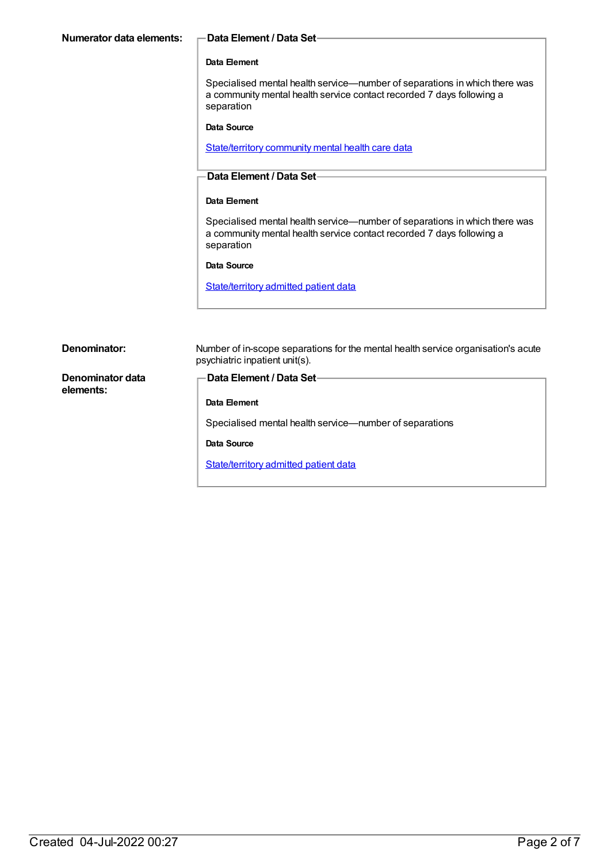#### **Data Element**

Specialised mental health service—number of separations in which there was a community mental health service contact recorded 7 days following a separation

**Data Source**

[State/territory](https://meteor.aihw.gov.au/content/402135) community mental health care data

#### **Data Element / Data Set**

#### **Data Element**

Specialised mental health service—number of separations in which there was a community mental health service contact recorded 7 days following a separation

#### **Data Source**

[State/territory](https://meteor.aihw.gov.au/content/426458) admitted patient data

| Denominator:                  | Number of in-scope separations for the mental health service organisation's acute<br>psychiatric inpatient unit(s). |
|-------------------------------|---------------------------------------------------------------------------------------------------------------------|
| Denominator data<br>elements: | – Data Element / Data Set-                                                                                          |
|                               | Data Element                                                                                                        |
|                               | Specialised mental health service—number of separations                                                             |
|                               | Data Source                                                                                                         |
|                               | <b>State/territory admitted patient data</b>                                                                        |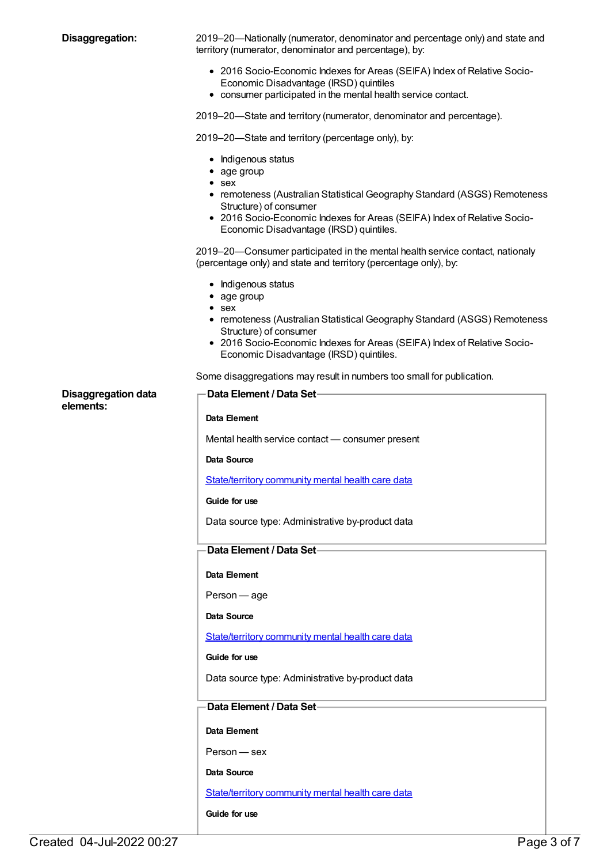| Disaggregation:                         | 2019–20—Nationally (numerator, denominator and percentage only) and state and<br>territory (numerator, denominator and percentage), by:                                                                                                                                           |
|-----------------------------------------|-----------------------------------------------------------------------------------------------------------------------------------------------------------------------------------------------------------------------------------------------------------------------------------|
|                                         | • 2016 Socio-Economic Indexes for Areas (SEIFA) Index of Relative Socio-<br>Economic Disadvantage (IRSD) quintiles<br>• consumer participated in the mental health service contact.                                                                                               |
|                                         | 2019–20—State and territory (numerator, denominator and percentage).                                                                                                                                                                                                              |
|                                         | 2019–20—State and territory (percentage only), by:                                                                                                                                                                                                                                |
|                                         | • Indigenous status<br>• age group<br>$\bullet$ sex<br>• remoteness (Australian Statistical Geography Standard (ASGS) Remoteness<br>Structure) of consumer<br>• 2016 Socio-Economic Indexes for Areas (SEIFA) Index of Relative Socio-<br>Economic Disadvantage (IRSD) quintiles. |
|                                         | 2019–20—Consumer participated in the mental health service contact, nationaly<br>(percentage only) and state and territory (percentage only), by:                                                                                                                                 |
|                                         | • Indigenous status<br>• age group<br>$\bullet$ sex<br>• remoteness (Australian Statistical Geography Standard (ASGS) Remoteness<br>Structure) of consumer<br>• 2016 Socio-Economic Indexes for Areas (SEIFA) Index of Relative Socio-<br>Economic Disadvantage (IRSD) quintiles. |
|                                         | Some disaggregations may result in numbers too small for publication.                                                                                                                                                                                                             |
| <b>Disaggregation data</b><br>elements: | <b>Data Element / Data Set-</b>                                                                                                                                                                                                                                                   |
|                                         | Data Element                                                                                                                                                                                                                                                                      |
|                                         | Mental health service contact - consumer present                                                                                                                                                                                                                                  |
|                                         | Data Source                                                                                                                                                                                                                                                                       |
|                                         | State/territory community mental health care data                                                                                                                                                                                                                                 |
|                                         | Guide for use                                                                                                                                                                                                                                                                     |
|                                         | Data source type: Administrative by-product data                                                                                                                                                                                                                                  |
|                                         | Data Element / Data Set-                                                                                                                                                                                                                                                          |
|                                         | Data Element                                                                                                                                                                                                                                                                      |
|                                         | Person - age                                                                                                                                                                                                                                                                      |
|                                         | Data Source                                                                                                                                                                                                                                                                       |
|                                         | State/territory community mental health care data                                                                                                                                                                                                                                 |
|                                         | Guide for use                                                                                                                                                                                                                                                                     |
|                                         | Data source type: Administrative by-product data                                                                                                                                                                                                                                  |
|                                         | Data Element / Data Set-                                                                                                                                                                                                                                                          |
|                                         | Data Element                                                                                                                                                                                                                                                                      |
|                                         | Person - sex                                                                                                                                                                                                                                                                      |
|                                         | Data Source                                                                                                                                                                                                                                                                       |
|                                         | State/territory community mental health care data                                                                                                                                                                                                                                 |
|                                         | Guide for use                                                                                                                                                                                                                                                                     |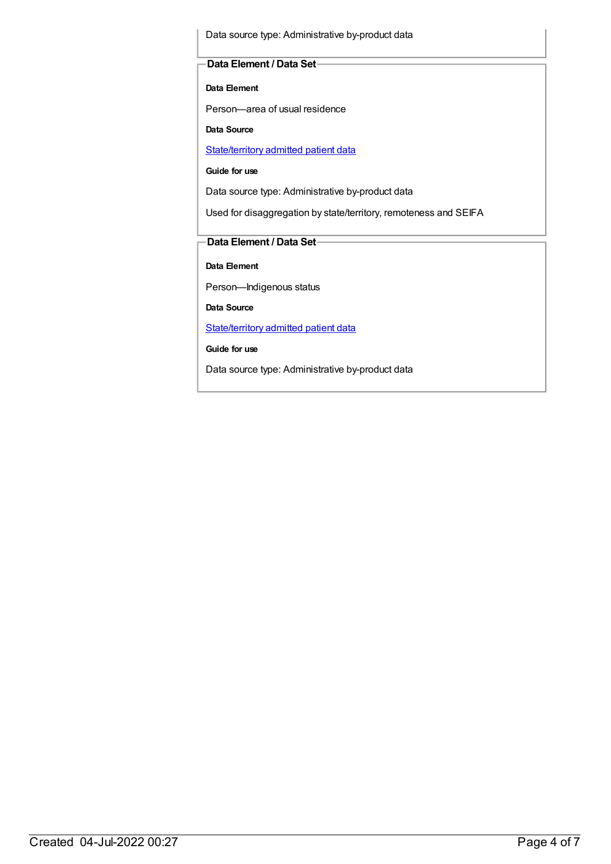Data source type: Administrative by-product data

#### **Data Element / Data Set**

**Data Element**

Person—area of usual residence

**Data Source**

[State/territory](https://meteor.aihw.gov.au/content/426458) admitted patient data

**Guide for use**

Data source type: Administrative by-product data

Used for disaggregation by state/territory, remoteness and SEIFA

#### **Data Element / Data Set**

**Data Element**

Person—Indigenous status

**Data Source**

[State/territory](https://meteor.aihw.gov.au/content/426458) admitted patient data

**Guide for use**

Data source type: Administrative by-product data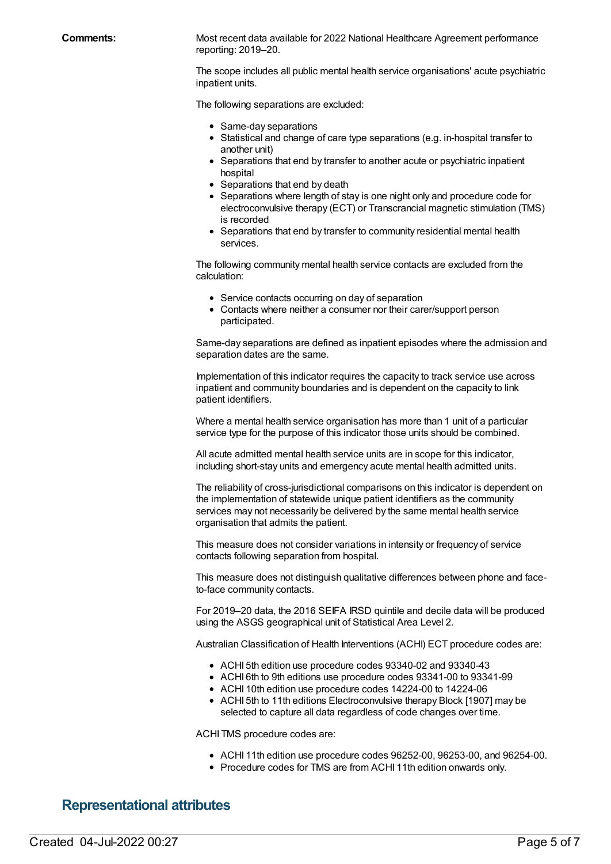**Comments:** Most recent data available for 2022 National Healthcare Agreement performance reporting: 2019–20.

> The scope includes all public mental health service organisations' acute psychiatric inpatient units.

The following separations are excluded:

- Same-day separations
- $\bullet$  Statistical and change of care type separations (e.g. in-hospital transfer to another unit)
- Separations that end by transfer to another acute or psychiatric inpatient hospital
- Separations that end by death
- Separations where length of stay is one night only and procedure code for electroconvulsive therapy (ECT) or Transcrancial magnetic stimulation (TMS) is recorded
- Separations that end by transfer to community residential mental health services.

The following community mental health service contacts are excluded from the calculation:

- Service contacts occurring on day of separation
- Contacts where neither a consumer nor their carer/support person participated.

Same-day separations are defined as inpatient episodes where the admission and separation dates are the same.

Implementation of this indicator requires the capacity to track service use across inpatient and community boundaries and is dependent on the capacity to link patient identifiers.

Where a mental health service organisation has more than 1 unit of a particular service type for the purpose of this indicator those units should be combined.

All acute admitted mental health service units are in scope for this indicator, including short-stay units and emergency acute mental health admitted units.

The reliability of cross-jurisdictional comparisons on this indicator is dependent on the implementation of statewide unique patient identifiers as the community services may not necessarily be delivered by the same mental health service organisation that admits the patient.

This measure does not consider variations in intensity or frequency of service contacts following separation from hospital.

This measure does not distinguish qualitative differences between phone and faceto-face community contacts.

For 2019–20 data, the 2016 SEIFA IRSD quintile and decile data will be produced using the ASGS geographical unit of Statistical Area Level 2.

Australian Classification of Health Interventions (ACHI) ECT procedure codes are:

- ACHI 5th edition use procedure codes 93340-02 and 93340-43
- ACHI 6th to 9th editions use procedure codes 93341-00 to 93341-99
- ACHI 10th edition use procedure codes 14224-00 to 14224-06
- ACHI 5th to 11th editions Electroconvulsive therapy Block [1907] may be selected to capture all data regardless of code changes over time.

ACHI TMS procedure codes are:

- ACHI 11th edition use procedure codes 96252-00, 96253-00, and 96254-00.
- Procedure codes for TMS are from ACHI 11th edition onwards only.

#### **Representational attributes**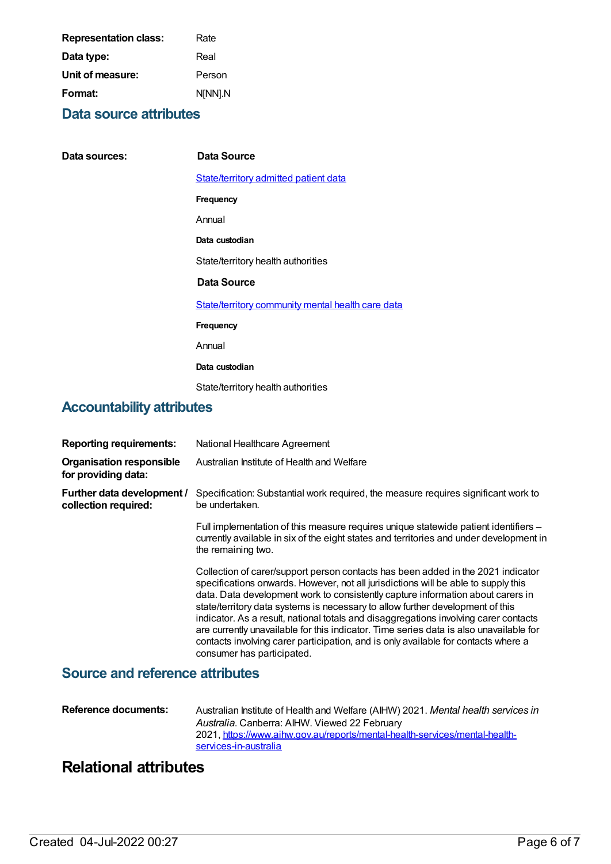| <b>Representation class:</b> | Rate    |
|------------------------------|---------|
| Data type:                   | Real    |
| Unit of measure:             | Person  |
| Format:                      | N[NN].N |

## **Data source attributes**

| Data sources:                             | Data Source                                       |
|-------------------------------------------|---------------------------------------------------|
|                                           | State/territory admitted patient data             |
|                                           | Frequency                                         |
|                                           | Annual                                            |
|                                           | Data custodian                                    |
|                                           | State/territory health authorities                |
|                                           | Data Source                                       |
|                                           | State/territory community mental health care data |
|                                           | Frequency                                         |
|                                           | Annual                                            |
|                                           | Data custodian                                    |
|                                           | State/territory health authorities                |
| A a a an matala 1114, na fitaille i sta a |                                                   |

### **Accountability attributes**

| <b>Reporting requirements:</b>                         | National Healthcare Agreement                                                                                                                                                                                                                                                                                                                                                                                                                                                                                                                                                                                                                     |
|--------------------------------------------------------|---------------------------------------------------------------------------------------------------------------------------------------------------------------------------------------------------------------------------------------------------------------------------------------------------------------------------------------------------------------------------------------------------------------------------------------------------------------------------------------------------------------------------------------------------------------------------------------------------------------------------------------------------|
| <b>Organisation responsible</b><br>for providing data: | Australian Institute of Health and Welfare                                                                                                                                                                                                                                                                                                                                                                                                                                                                                                                                                                                                        |
| Further data development /<br>collection required:     | Specification: Substantial work required, the measure requires significant work to<br>be undertaken.                                                                                                                                                                                                                                                                                                                                                                                                                                                                                                                                              |
|                                                        | Full implementation of this measure requires unique statewide patient identifiers –<br>currently available in six of the eight states and territories and under development in<br>the remaining two.                                                                                                                                                                                                                                                                                                                                                                                                                                              |
|                                                        | Collection of carer/support person contacts has been added in the 2021 indicator<br>specifications onwards. However, not all jurisdictions will be able to supply this<br>data. Data development work to consistently capture information about carers in<br>state/territory data systems is necessary to allow further development of this<br>indicator. As a result, national totals and disaggregations involving carer contacts<br>are currently unavailable for this indicator. Time series data is also unavailable for<br>contacts involving carer participation, and is only available for contacts where a<br>consumer has participated. |

## **Source and reference attributes**

| Reference documents: | Australian Institute of Health and Welfare (AIHW) 2021. Mental health services in |
|----------------------|-----------------------------------------------------------------------------------|
|                      | Australia. Canberra: AIHW. Viewed 22 February                                     |
|                      | 2021, https://www.aihw.gov.au/reports/mental-health-services/mental-health-       |
|                      | services-in-australia                                                             |

## **Relational attributes**